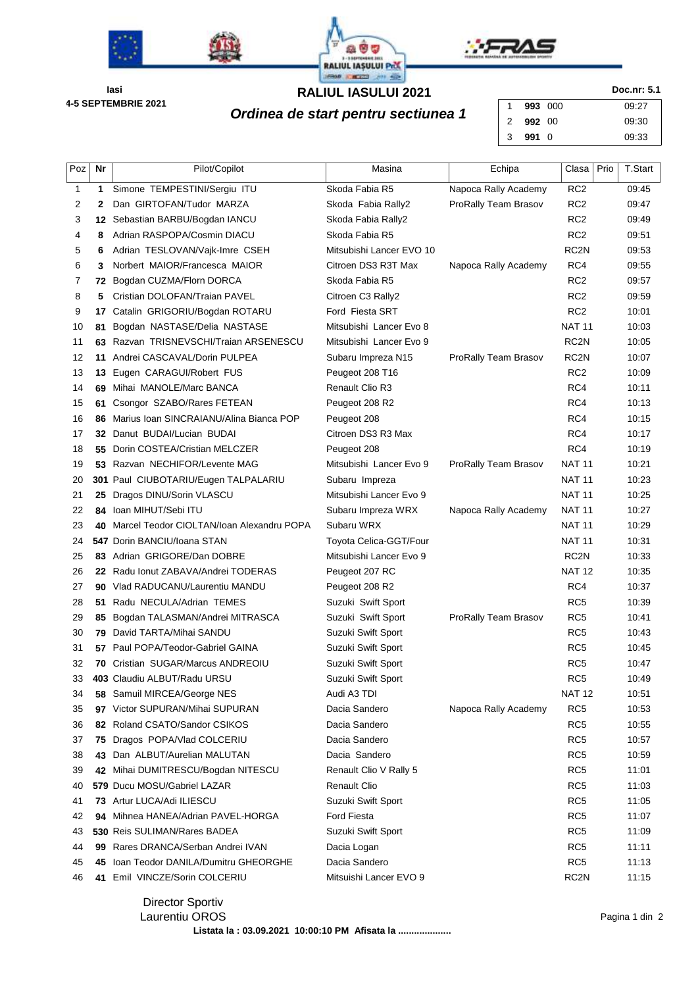





**4-5 SEPTEMBRIE 2021 Iasi**

## **RALIUL IASULUI 2021 Doc.nr: 5.1**

**Ordinea de start pentru sectiunea 1**  $\begin{bmatrix} 1 & 993 & 000 \\ 2 & 992 & 00 \end{bmatrix}$  09:27 00 **991** 0 09:33

| Poz      | Nr  | Pilot/Copilot                                                          | Masina                                 | Echipa               | Clasa            | Prio | <b>T.Start</b> |
|----------|-----|------------------------------------------------------------------------|----------------------------------------|----------------------|------------------|------|----------------|
| 1        | 1   | Simone TEMPESTINI/Sergiu ITU                                           | Skoda Fabia R5                         | Napoca Rally Academy | RC <sub>2</sub>  |      | 09:45          |
| 2        | 2   | Dan GIRTOFAN/Tudor MARZA                                               | Skoda Fabia Rally2                     | ProRally Team Brasov | RC <sub>2</sub>  |      | 09:47          |
| 3        | 12  | Sebastian BARBU/Bogdan IANCU                                           | Skoda Fabia Rally2                     |                      | RC <sub>2</sub>  |      | 09:49          |
| 4        | 8   | Adrian RASPOPA/Cosmin DIACU                                            | Skoda Fabia R5                         |                      | RC <sub>2</sub>  |      | 09:51          |
| 5        | 6   | Adrian TESLOVAN/Vajk-Imre CSEH                                         | Mitsubishi Lancer EVO 10               |                      | RC2N             |      | 09:53          |
| 6        | 3   | Norbert MAIOR/Francesca MAIOR                                          | Citroen DS3 R3T Max                    | Napoca Rally Academy | RC4              |      | 09:55          |
| 7        | 72  | Bogdan CUZMA/Florn DORCA                                               | Skoda Fabia R5                         |                      | RC <sub>2</sub>  |      | 09:57          |
| 8        | 5   | Cristian DOLOFAN/Traian PAVEL                                          | Citroen C3 Rally2                      |                      | RC <sub>2</sub>  |      | 09:59          |
| 9        | 17  | Catalin GRIGORIU/Bogdan ROTARU                                         | Ford Fiesta SRT                        |                      | RC <sub>2</sub>  |      | 10:01          |
| 10       | 81  | Bogdan NASTASE/Delia NASTASE                                           | Mitsubishi Lancer Evo 8                |                      | <b>NAT 11</b>    |      | 10:03          |
| 11       | 63  | Razvan TRISNEVSCHI/Traian ARSENESCU                                    | Mitsubishi Lancer Evo 9                |                      | RC <sub>2N</sub> |      | 10:05          |
| 12       |     | 11 Andrei CASCAVAL/Dorin PULPEA                                        | Subaru Impreza N15                     | ProRally Team Brasov | RC <sub>2N</sub> |      | 10:07          |
| 13       |     | 13 Eugen CARAGUI/Robert FUS                                            | Peugeot 208 T16                        |                      | RC <sub>2</sub>  |      | 10:09          |
| 14       | 69  | Mihai MANOLE/Marc BANCA                                                | <b>Renault Clio R3</b>                 |                      | RC4              |      | 10:11          |
| 15       | 61  | Csongor SZABO/Rares FETEAN                                             | Peugeot 208 R2                         |                      | RC4              |      | 10:13          |
| 16       | 86  | Marius Ioan SINCRAIANU/Alina Bianca POP                                | Peugeot 208                            |                      | RC4<br>RC4       |      | 10:15          |
| 17       | 32  | Danut BUDAI/Lucian BUDAI<br>Dorin COSTEA/Cristian MELCZER              | Citroen DS3 R3 Max                     |                      | RC4              |      | 10:17          |
| 18<br>19 | 55. |                                                                        | Peugeot 208<br>Mitsubishi Lancer Evo 9 |                      | <b>NAT 11</b>    |      | 10:19<br>10:21 |
| 20       |     | 53 Razvan NECHIFOR/Levente MAG<br>301 Paul CIUBOTARIU/Eugen TALPALARIU | Subaru Impreza                         | ProRally Team Brasov | <b>NAT 11</b>    |      | 10:23          |
| 21       | 25  | Dragos DINU/Sorin VLASCU                                               | Mitsubishi Lancer Evo 9                |                      | <b>NAT 11</b>    |      | 10:25          |
| 22       | 84  | Ioan MIHUT/Sebi ITU                                                    | Subaru Impreza WRX                     | Napoca Rally Academy | <b>NAT 11</b>    |      | 10:27          |
| 23       | 40  | Marcel Teodor CIOLTAN/Ioan Alexandru POPA                              | Subaru WRX                             |                      | <b>NAT 11</b>    |      | 10:29          |
| 24       |     | 547 Dorin BANCIU/Ioana STAN                                            | Toyota Celica-GGT/Four                 |                      | <b>NAT 11</b>    |      | 10:31          |
| 25       |     | 83 Adrian GRIGORE/Dan DOBRE                                            | Mitsubishi Lancer Evo 9                |                      | RC2N             |      | 10:33          |
| 26       |     | 22 Radu Ionut ZABAVA/Andrei TODERAS                                    | Peugeot 207 RC                         |                      | <b>NAT 12</b>    |      | 10:35          |
| 27       | 90  | Vlad RADUCANU/Laurentiu MANDU                                          | Peugeot 208 R2                         |                      | RC4              |      | 10:37          |
| 28       | 51. | Radu NECULA/Adrian TEMES                                               | Suzuki Swift Sport                     |                      | RC <sub>5</sub>  |      | 10:39          |
| 29       | 85  | Bogdan TALASMAN/Andrei MITRASCA                                        | Suzuki Swift Sport                     | ProRally Team Brasov | RC <sub>5</sub>  |      | 10:41          |
| 30       |     | 79 David TARTA/Mihai SANDU                                             | Suzuki Swift Sport                     |                      | RC <sub>5</sub>  |      | 10:43          |
| 31       |     | 57 Paul POPA/Teodor-Gabriel GAINA                                      | Suzuki Swift Sport                     |                      | RC <sub>5</sub>  |      | 10:45          |
| 32       | 70  | Cristian SUGAR/Marcus ANDREOIU                                         | Suzuki Swift Sport                     |                      | RC <sub>5</sub>  |      | 10:47          |
| 33       |     | 403 Claudiu ALBUT/Radu URSU                                            | Suzuki Swift Sport                     |                      | RC <sub>5</sub>  |      | 10:49          |
| 34       | 58  | Samuil MIRCEA/George NES                                               | Audi A3 TDI                            |                      | <b>NAT 12</b>    |      | 10:51          |
| 35       |     | 97 Victor SUPURAN/Mihai SUPURAN                                        | Dacia Sandero                          | Napoca Rally Academy | RC <sub>5</sub>  |      | 10:53          |
| 36       |     | 82 Roland CSATO/Sandor CSIKOS                                          | Dacia Sandero                          |                      | RC <sub>5</sub>  |      | 10:55          |
| 37       | 75  | Dragos POPA/Vlad COLCERIU                                              | Dacia Sandero                          |                      | RC <sub>5</sub>  |      | 10:57          |
| 38       | 43  | Dan ALBUT/Aurelian MALUTAN                                             | Dacia Sandero                          |                      | RC <sub>5</sub>  |      | 10:59          |
| 39       |     | 42 Mihai DUMITRESCU/Bogdan NITESCU                                     | Renault Clio V Rally 5                 |                      | RC <sub>5</sub>  |      | 11:01          |
| 40       |     | 579 Ducu MOSU/Gabriel LAZAR                                            | <b>Renault Clio</b>                    |                      | RC <sub>5</sub>  |      | 11:03          |
| 41       |     | 73 Artur LUCA/Adi ILIESCU                                              | Suzuki Swift Sport                     |                      | RC <sub>5</sub>  |      | 11:05          |
| 42       | 94  | Mihnea HANEA/Adrian PAVEL-HORGA                                        | <b>Ford Fiesta</b>                     |                      | RC <sub>5</sub>  |      | 11:07          |
| 43       |     | 530 Reis SULIMAN/Rares BADEA                                           | Suzuki Swift Sport                     |                      | RC <sub>5</sub>  |      | 11:09          |
| 44       | 99  | Rares DRANCA/Serban Andrei IVAN                                        | Dacia Logan                            |                      | RC <sub>5</sub>  |      | 11:11          |
| 45       | 45  | Ioan Teodor DANILA/Dumitru GHEORGHE                                    | Dacia Sandero                          |                      | RC <sub>5</sub>  |      | 11:13          |
| 46       |     | 41 Emil VINCZE/Sorin COLCERIU                                          | Mitsuishi Lancer EVO 9                 |                      | RC <sub>2N</sub> |      | 11:15          |

Laurentiu OROS **Listata la : 03.09.2021 10:00:10 PM Afisata la ....................**

Director Sportiv